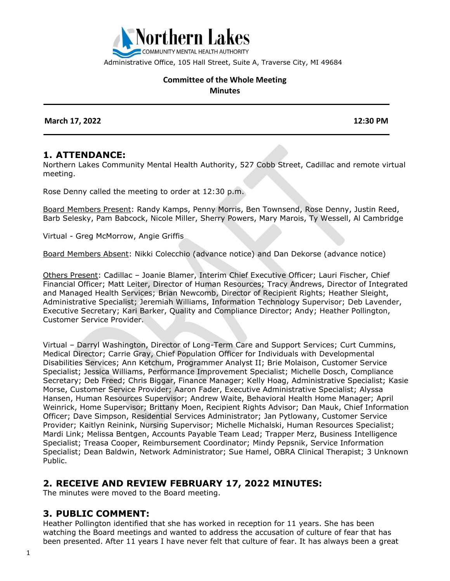

Administrative Office, 105 Hall Street, Suite A, Traverse City, MI 49684

#### **Committee of the Whole Meeting Minutes**

 **March 17, 2022 12:30 PM**

#### **1. ATTENDANCE:**

Northern Lakes Community Mental Health Authority, 527 Cobb Street, Cadillac and remote virtual meeting.

Rose Denny called the meeting to order at 12:30 p.m.

Board Members Present: Randy Kamps, Penny Morris, Ben Townsend, Rose Denny, Justin Reed, Barb Selesky, Pam Babcock, Nicole Miller, Sherry Powers, Mary Marois, Ty Wessell, Al Cambridge

Virtual - Greg McMorrow, Angie Griffis

Board Members Absent: Nikki Colecchio (advance notice) and Dan Dekorse (advance notice)

Others Present: Cadillac – Joanie Blamer, Interim Chief Executive Officer; Lauri Fischer, Chief Financial Officer; Matt Leiter, Director of Human Resources; Tracy Andrews, Director of Integrated and Managed Health Services; Brian Newcomb, Director of Recipient Rights; Heather Sleight, Administrative Specialist; Jeremiah Williams, Information Technology Supervisor; Deb Lavender, Executive Secretary; Kari Barker, Quality and Compliance Director; Andy; Heather Pollington, Customer Service Provider.

Virtual – Darryl Washington, Director of Long-Term Care and Support Services; Curt Cummins, Medical Director; Carrie Gray, Chief Population Officer for Individuals with Developmental Disabilities Services; Ann Ketchum, Programmer Analyst II; Brie Molaison, Customer Service Specialist; Jessica Williams, Performance Improvement Specialist; Michelle Dosch, Compliance Secretary; Deb Freed; Chris Biggar, Finance Manager; Kelly Hoag, Administrative Specialist; Kasie Morse, Customer Service Provider; Aaron Fader, Executive Administrative Specialist; Alyssa Hansen, Human Resources Supervisor; Andrew Waite, Behavioral Health Home Manager; April Weinrick, Home Supervisor; Brittany Moen, Recipient Rights Advisor; Dan Mauk, Chief Information Officer; Dave Simpson, Residential Services Administrator; Jan Pytlowany, Customer Service Provider; Kaitlyn Reinink, Nursing Supervisor; Michelle Michalski, Human Resources Specialist; Mardi Link; Melissa Bentgen, Accounts Payable Team Lead; Trapper Merz, Business Intelligence Specialist; Treasa Cooper, Reimbursement Coordinator; Mindy Pepsnik, Service Information Specialist; Dean Baldwin, Network Administrator; Sue Hamel, OBRA Clinical Therapist; 3 Unknown Public.

#### **2. RECEIVE AND REVIEW FEBRUARY 17, 2022 MINUTES:**

The minutes were moved to the Board meeting.

#### **3. PUBLIC COMMENT:**

Heather Pollington identified that she has worked in reception for 11 years. She has been watching the Board meetings and wanted to address the accusation of culture of fear that has been presented. After 11 years I have never felt that culture of fear. It has always been a great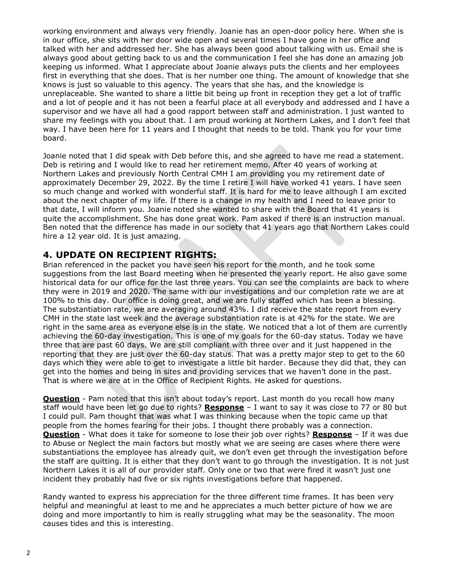working environment and always very friendly. Joanie has an open-door policy here. When she is in our office, she sits with her door wide open and several times I have gone in her office and talked with her and addressed her. She has always been good about talking with us. Email she is always good about getting back to us and the communication I feel she has done an amazing job keeping us informed. What I appreciate about Joanie always puts the clients and her employees first in everything that she does. That is her number one thing. The amount of knowledge that she knows is just so valuable to this agency. The years that she has, and the knowledge is unreplaceable. She wanted to share a little bit being up front in reception they get a lot of traffic and a lot of people and it has not been a fearful place at all everybody and addressed and I have a supervisor and we have all had a good rapport between staff and administration. I just wanted to share my feelings with you about that. I am proud working at Northern Lakes, and I don't feel that way. I have been here for 11 years and I thought that needs to be told. Thank you for your time board.

Joanie noted that I did speak with Deb before this, and she agreed to have me read a statement. Deb is retiring and I would like to read her retirement memo. After 40 years of working at Northern Lakes and previously North Central CMH I am providing you my retirement date of approximately December 29, 2022. By the time I retire I will have worked 41 years. I have seen so much change and worked with wonderful staff. It is hard for me to leave although I am excited about the next chapter of my life. If there is a change in my health and I need to leave prior to that date, I will inform you. Joanie noted she wanted to share with the Board that 41 years is quite the accomplishment. She has done great work. Pam asked if there is an instruction manual. Ben noted that the difference has made in our society that 41 years ago that Northern Lakes could hire a 12 year old. It is just amazing.

### **4. UPDATE ON RECIPIENT RIGHTS:**

Brian referenced in the packet you have seen his report for the month, and he took some suggestions from the last Board meeting when he presented the yearly report. He also gave some historical data for our office for the last three years. You can see the complaints are back to where they were in 2019 and 2020. The same with our investigations and our completion rate we are at 100% to this day. Our office is doing great, and we are fully staffed which has been a blessing. The substantiation rate, we are averaging around 43%. I did receive the state report from every CMH in the state last week and the average substantiation rate is at 42% for the state. We are right in the same area as everyone else is in the state. We noticed that a lot of them are currently achieving the 60-day investigation. This is one of my goals for the 60-day status. Today we have three that are past 60 days. We are still compliant with three over and it just happened in the reporting that they are just over the 60-day status. That was a pretty major step to get to the 60 days which they were able to get to investigate a little bit harder. Because they did that, they can get into the homes and being in sites and providing services that we haven't done in the past. That is where we are at in the Office of Recipient Rights. He asked for questions.

**Question** - Pam noted that this isn't about today's report. Last month do you recall how many staff would have been let go due to rights? **Response** – I want to say it was close to 77 or 80 but I could pull. Pam thought that was what I was thinking because when the topic came up that people from the homes fearing for their jobs. I thought there probably was a connection. **Question** - What does it take for someone to lose their job over rights? **Response** – If it was due to Abuse or Neglect the main factors but mostly what we are seeing are cases where there were substantiations the employee has already quit, we don't even get through the investigation before the staff are quitting. It is either that they don't want to go through the investigation. It is not just Northern Lakes it is all of our provider staff. Only one or two that were fired it wasn't just one incident they probably had five or six rights investigations before that happened.

Randy wanted to express his appreciation for the three different time frames. It has been very helpful and meaningful at least to me and he appreciates a much better picture of how we are doing and more importantly to him is really struggling what may be the seasonality. The moon causes tides and this is interesting.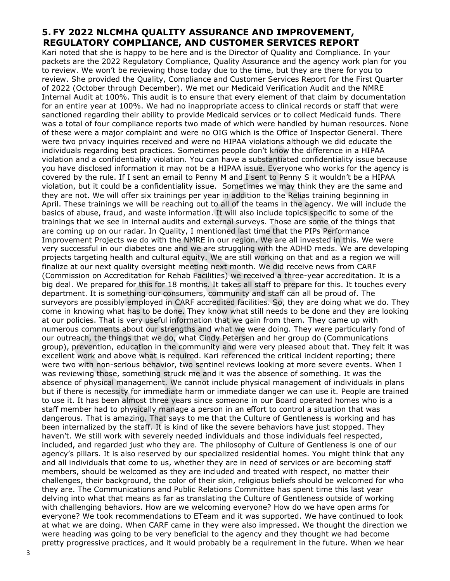## **5. FY 2022 NLCMHA QUALITY ASSURANCE AND IMPROVEMENT, REGULATORY COMPLIANCE, AND CUSTOMER SERVICES REPORT**

Kari noted that she is happy to be here and is the Director of Quality and Compliance. In your packets are the 2022 Regulatory Compliance, Quality Assurance and the agency work plan for you to review. We won't be reviewing those today due to the time, but they are there for you to review. She provided the Quality, Compliance and Customer Services Report for the First Quarter of 2022 (October through December). We met our Medicaid Verification Audit and the NMRE Internal Audit at 100%. This audit is to ensure that every element of that claim by documentation for an entire year at 100%. We had no inappropriate access to clinical records or staff that were sanctioned regarding their ability to provide Medicaid services or to collect Medicaid funds. There was a total of four compliance reports two made of which were handled by human resources. None of these were a major complaint and were no OIG which is the Office of Inspector General. There were two privacy inquiries received and were no HIPAA violations although we did educate the individuals regarding best practices. Sometimes people don't know the difference in a HIPAA violation and a confidentiality violation. You can have a substantiated confidentiality issue because you have disclosed information it may not be a HIPAA issue. Everyone who works for the agency is covered by the rule. If I sent an email to Penny M and I sent to Penny S it wouldn't be a HIPAA violation, but it could be a confidentiality issue. Sometimes we may think they are the same and they are not. We will offer six trainings per year in addition to the Relias training beginning in April. These trainings we will be reaching out to all of the teams in the agency. We will include the basics of abuse, fraud, and waste information. It will also include topics specific to some of the trainings that we see in internal audits and external surveys. Those are some of the things that are coming up on our radar. In Quality, I mentioned last time that the PIPs Performance Improvement Projects we do with the NMRE in our region. We are all invested in this. We were very successful in our diabetes one and we are struggling with the ADHD meds. We are developing projects targeting health and cultural equity. We are still working on that and as a region we will finalize at our next quality oversight meeting next month. We did receive news from CARF (Commission on Accreditation for Rehab Facilities) we received a three-year accreditation. It is a big deal. We prepared for this for 18 months. It takes all staff to prepare for this. It touches every department. It is something our consumers, community and staff can all be proud of. The surveyors are possibly employed in CARF accredited facilities. So, they are doing what we do. They come in knowing what has to be done. They know what still needs to be done and they are looking at our policies. That is very useful information that we gain from them. They came up with numerous comments about our strengths and what we were doing. They were particularly fond of our outreach, the things that we do, what Cindy Petersen and her group do (Communications group), prevention, education in the community and were very pleased about that. They felt it was excellent work and above what is required. Kari referenced the critical incident reporting; there were two with non-serious behavior, two sentinel reviews looking at more severe events. When I was reviewing those, something struck me and it was the absence of something. It was the absence of physical management. We cannot include physical management of individuals in plans but if there is necessity for immediate harm or immediate danger we can use it. People are trained to use it. It has been almost three years since someone in our Board operated homes who is a staff member had to physically manage a person in an effort to control a situation that was dangerous. That is amazing. That says to me that the Culture of Gentleness is working and has been internalized by the staff. It is kind of like the severe behaviors have just stopped. They haven't. We still work with severely needed individuals and those individuals feel respected, included, and regarded just who they are. The philosophy of Culture of Gentleness is one of our agency's pillars. It is also reserved by our specialized residential homes. You might think that any and all individuals that come to us, whether they are in need of services or are becoming staff members, should be welcomed as they are included and treated with respect, no matter their challenges, their background, the color of their skin, religious beliefs should be welcomed for who they are. The Communications and Public Relations Committee has spent time this last year delving into what that means as far as translating the Culture of Gentleness outside of working with challenging behaviors. How are we welcoming everyone? How do we have open arms for everyone? We took recommendations to ETeam and it was supported. We have continued to look at what we are doing. When CARF came in they were also impressed. We thought the direction we were heading was going to be very beneficial to the agency and they thought we had become pretty progressive practices, and it would probably be a requirement in the future. When we hear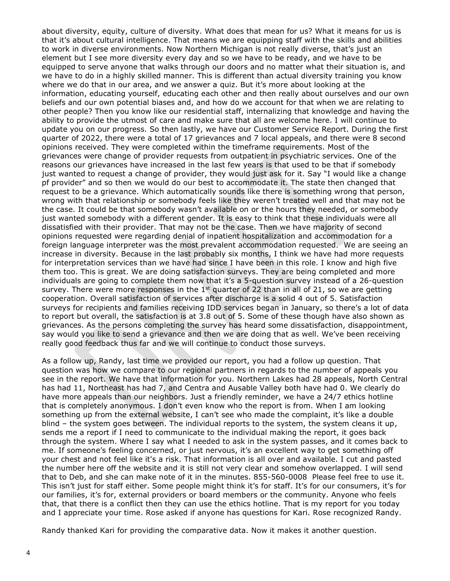about diversity, equity, culture of diversity. What does that mean for us? What it means for us is that it's about cultural intelligence. That means we are equipping staff with the skills and abilities to work in diverse environments. Now Northern Michigan is not really diverse, that's just an element but I see more diversity every day and so we have to be ready, and we have to be equipped to serve anyone that walks through our doors and no matter what their situation is, and we have to do in a highly skilled manner. This is different than actual diversity training you know where we do that in our area, and we answer a quiz. But it's more about looking at the information, educating yourself, educating each other and then really about ourselves and our own beliefs and our own potential biases and, and how do we account for that when we are relating to other people? Then you know like our residential staff, internalizing that knowledge and having the ability to provide the utmost of care and make sure that all are welcome here. I will continue to update you on our progress. So then lastly, we have our Customer Service Report. During the first quarter of 2022, there were a total of 17 grievances and 7 local appeals, and there were 8 second opinions received. They were completed within the timeframe requirements. Most of the grievances were change of provider requests from outpatient in psychiatric services. One of the reasons our grievances have increased in the last few years is that used to be that if somebody just wanted to request a change of provider, they would just ask for it. Say "I would like a change pf provider" and so then we would do our best to accommodate it. The state then changed that request to be a grievance. Which automatically sounds like there is something wrong that person, wrong with that relationship or somebody feels like they weren't treated well and that may not be the case. It could be that somebody wasn't available on or the hours they needed, or somebody just wanted somebody with a different gender. It is easy to think that these individuals were all dissatisfied with their provider. That may not be the case. Then we have majority of second opinions requested were regarding denial of inpatient hospitalization and accommodation for a foreign language interpreter was the most prevalent accommodation requested. We are seeing an increase in diversity. Because in the last probably six months, I think we have had more requests for interpretation services than we have had since I have been in this role. I know and high five them too. This is great. We are doing satisfaction surveys. They are being completed and more individuals are going to complete them now that it's a 5-question survey instead of a 26-question survey. There were more responses in the 1<sup>st</sup> quarter of 22 than in all of 21, so we are getting cooperation. Overall satisfaction of services after discharge is a solid 4 out of 5. Satisfaction surveys for recipients and families receiving IDD services began in January, so there's a lot of data to report but overall, the satisfaction is at 3.8 out of 5. Some of these though have also shown as grievances. As the persons completing the survey has heard some dissatisfaction, disappointment, say would you like to send a grievance and then we are doing that as well. We've been receiving really good feedback thus far and we will continue to conduct those surveys.

As a follow up, Randy, last time we provided our report, you had a follow up question. That question was how we compare to our regional partners in regards to the number of appeals you see in the report. We have that information for you. Northern Lakes had 28 appeals, North Central has had 11, Northeast has had 7, and Centra and Ausable Valley both have had 0. We clearly do have more appeals than our neighbors. Just a friendly reminder, we have a 24/7 ethics hotline that is completely anonymous. I don't even know who the report is from. When I am looking something up from the external website, I can't see who made the complaint, it's like a double blind – the system goes between. The individual reports to the system, the system cleans it up, sends me a report if I need to communicate to the individual making the report, it goes back through the system. Where I say what I needed to ask in the system passes, and it comes back to me. If someone's feeling concerned, or just nervous, it's an excellent way to get something off your chest and not feel like it's a risk. That information is all over and available. I cut and pasted the number here off the website and it is still not very clear and somehow overlapped. I will send that to Deb, and she can make note of it in the minutes. 855-560-0008 Please feel free to use it. This isn't just for staff either. Some people might think it's for staff. It's for our consumers, it's for our families, it's for, external providers or board members or the community. Anyone who feels that, that there is a conflict then they can use the ethics hotline. That is my report for you today and I appreciate your time. Rose asked if anyone has questions for Kari. Rose recognized Randy.

Randy thanked Kari for providing the comparative data. Now it makes it another question.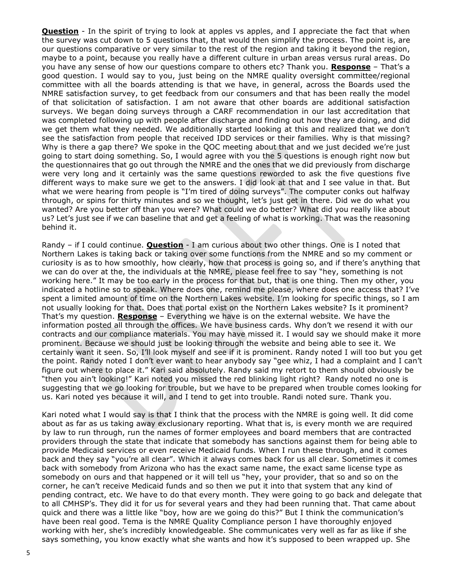**Question** - In the spirit of trying to look at apples vs apples, and I appreciate the fact that when the survey was cut down to 5 questions that, that would then simplify the process. The point is, are our questions comparative or very similar to the rest of the region and taking it beyond the region, maybe to a point, because you really have a different culture in urban areas versus rural areas. Do you have any sense of how our questions compare to others etc? Thank you. **Response** – That's a good question. I would say to you, just being on the NMRE quality oversight committee/regional committee with all the boards attending is that we have, in general, across the Boards used the NMRE satisfaction survey, to get feedback from our consumers and that has been really the model of that solicitation of satisfaction. I am not aware that other boards are additional satisfaction surveys. We began doing surveys through a CARF recommendation in our last accreditation that was completed following up with people after discharge and finding out how they are doing, and did we get them what they needed. We additionally started looking at this and realized that we don't see the satisfaction from people that received IDD services or their families. Why is that missing? Why is there a gap there? We spoke in the QOC meeting about that and we just decided we're just going to start doing something. So, I would agree with you the 5 questions is enough right now but the questionnaires that go out through the NMRE and the ones that we did previously from discharge were very long and it certainly was the same questions reworded to ask the five questions five different ways to make sure we get to the answers. I did look at that and I see value in that. But what we were hearing from people is "I'm tired of doing surveys". The computer conks out halfway through, or spins for thirty minutes and so we thought, let's just get in there. Did we do what you wanted? Are you better off than you were? What could we do better? What did you really like about us? Let's just see if we can baseline that and get a feeling of what is working. That was the reasoning behind it.

Randy – if I could continue. **Question** - I am curious about two other things. One is I noted that Northern Lakes is taking back or taking over some functions from the NMRE and so my comment or curiosity is as to how smoothly, how clearly, how that process is going so, and if there's anything that we can do over at the, the individuals at the NMRE, please feel free to say "hey, something is not working here." It may be too early in the process for that but, that is one thing. Then my other, you indicated a hotline so to speak. Where does one, remind me please, where does one access that? I've spent a limited amount of time on the Northern Lakes website. I'm looking for specific things, so I am not usually looking for that. Does that portal exist on the Northern Lakes website? Is it prominent? That's my question. **Response** – Everything we have is on the external website. We have the information posted all through the offices. We have business cards. Why don't we resend it with our contracts and our compliance materials. You may have missed it. I would say we should make it more prominent. Because we should just be looking through the website and being able to see it. We certainly want it seen. So, I'll look myself and see if it is prominent. Randy noted I will too but you get the point. Randy noted I don't ever want to hear anybody say "gee whiz, I had a complaint and I can't figure out where to place it." Kari said absolutely. Randy said my retort to them should obviously be "then you ain't looking!" Kari noted you missed the red blinking light right? Randy noted no one is suggesting that we go looking for trouble, but we have to be prepared when trouble comes looking for us. Kari noted yes because it will, and I tend to get into trouble. Randi noted sure. Thank you.

Kari noted what I would say is that I think that the process with the NMRE is going well. It did come about as far as us taking away exclusionary reporting. What that is, is every month we are required by law to run through, run the names of former employees and board members that are contracted providers through the state that indicate that somebody has sanctions against them for being able to provide Medicaid services or even receive Medicaid funds. When I run these through, and it comes back and they say "you're all clear". Which it always comes back for us all clear. Sometimes it comes back with somebody from Arizona who has the exact same name, the exact same license type as somebody on ours and that happened or it will tell us "hey, your provider, that so and so on the corner, he can't receive Medicaid funds and so then we put it into that system that any kind of pending contract, etc. We have to do that every month. They were going to go back and delegate that to all CMHSP's. They did it for us for several years and they had been running that. That came about quick and there was a little like "boy, how are we going do this?" But I think the communication's have been real good. Tema is the NMRE Quality Compliance person I have thoroughly enjoyed working with her, she's incredibly knowledgeable. She communicates very well as far as like if she says something, you know exactly what she wants and how it's supposed to been wrapped up. She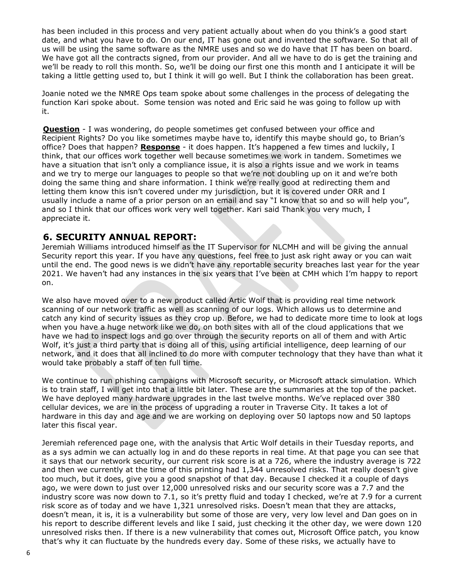has been included in this process and very patient actually about when do you think's a good start date, and what you have to do. On our end, IT has gone out and invented the software. So that all of us will be using the same software as the NMRE uses and so we do have that IT has been on board. We have got all the contracts signed, from our provider. And all we have to do is get the training and we'll be ready to roll this month. So, we'll be doing our first one this month and I anticipate it will be taking a little getting used to, but I think it will go well. But I think the collaboration has been great.

Joanie noted we the NMRE Ops team spoke about some challenges in the process of delegating the function Kari spoke about. Some tension was noted and Eric said he was going to follow up with it.

**Question** - I was wondering, do people sometimes get confused between your office and Recipient Rights? Do you like sometimes maybe have to, identify this maybe should go, to Brian's office? Does that happen? **Response** - it does happen. It's happened a few times and luckily, I think, that our offices work together well because sometimes we work in tandem. Sometimes we have a situation that isn't only a compliance issue, it is also a rights issue and we work in teams and we try to merge our languages to people so that we're not doubling up on it and we're both doing the same thing and share information. I think we're really good at redirecting them and letting them know this isn't covered under my jurisdiction, but it is covered under ORR and I usually include a name of a prior person on an email and say "I know that so and so will help you", and so I think that our offices work very well together. Kari said Thank you very much, I appreciate it.

### **6. SECURITY ANNUAL REPORT:**

Jeremiah Williams introduced himself as the IT Supervisor for NLCMH and will be giving the annual Security report this year. If you have any questions, feel free to just ask right away or you can wait until the end. The good news is we didn't have any reportable security breaches last year for the year 2021. We haven't had any instances in the six years that I've been at CMH which I'm happy to report on.

We also have moved over to a new product called Artic Wolf that is providing real time network scanning of our network traffic as well as scanning of our logs. Which allows us to determine and catch any kind of security issues as they crop up. Before, we had to dedicate more time to look at logs when you have a huge network like we do, on both sites with all of the cloud applications that we have we had to inspect logs and go over through the security reports on all of them and with Artic Wolf, it's just a third party that is doing all of this, using artificial intelligence, deep learning of our network, and it does that all inclined to do more with computer technology that they have than what it would take probably a staff of ten full time.

We continue to run phishing campaigns with Microsoft security, or Microsoft attack simulation. Which is to train staff, I will get into that a little bit later. These are the summaries at the top of the packet. We have deployed many hardware upgrades in the last twelve months. We've replaced over 380 cellular devices, we are in the process of upgrading a router in Traverse City. It takes a lot of hardware in this day and age and we are working on deploying over 50 laptops now and 50 laptops later this fiscal year.

Jeremiah referenced page one, with the analysis that Artic Wolf details in their Tuesday reports, and as a sys admin we can actually log in and do these reports in real time. At that page you can see that it says that our network security, our current risk score is at a 726, where the industry average is 722 and then we currently at the time of this printing had 1,344 unresolved risks. That really doesn't give too much, but it does, give you a good snapshot of that day. Because I checked it a couple of days ago, we were down to just over 12,000 unresolved risks and our security score was a 7.7 and the industry score was now down to 7.1, so it's pretty fluid and today I checked, we're at 7.9 for a current risk score as of today and we have 1,321 unresolved risks. Doesn't mean that they are attacks, doesn't mean, it is, it is a vulnerability but some of those are very, very low level and Dan goes on in his report to describe different levels and like I said, just checking it the other day, we were down 120 unresolved risks then. If there is a new vulnerability that comes out, Microsoft Office patch, you know that's why it can fluctuate by the hundreds every day. Some of these risks, we actually have to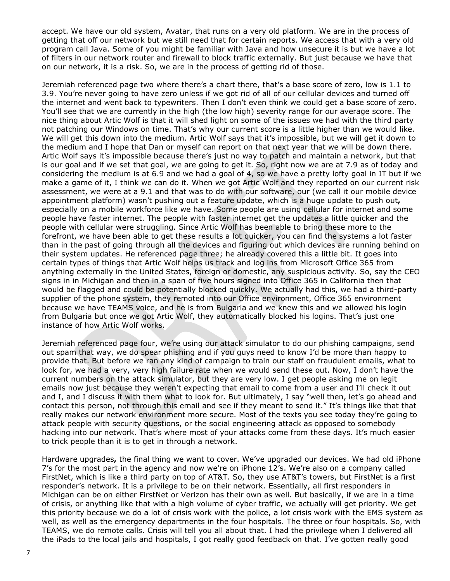accept. We have our old system, Avatar, that runs on a very old platform. We are in the process of getting that off our network but we still need that for certain reports. We access that with a very old program call Java. Some of you might be familiar with Java and how unsecure it is but we have a lot of filters in our network router and firewall to block traffic externally. But just because we have that on our network, it is a risk. So, we are in the process of getting rid of those.

Jeremiah referenced page two where there's a chart there, that's a base score of zero, low is 1.1 to 3.9. You're never going to have zero unless if we got rid of all of our cellular devices and turned off the internet and went back to typewriters. Then I don't even think we could get a base score of zero. You'll see that we are currently in the high (the low high) severity range for our average score. The nice thing about Artic Wolf is that it will shed light on some of the issues we had with the third party not patching our Windows on time. That's why our current score is a little higher than we would like. We will get this down into the medium. Artic Wolf says that it's impossible, but we will get it down to the medium and I hope that Dan or myself can report on that next year that we will be down there. Artic Wolf says it's impossible because there's just no way to patch and maintain a network, but that is our goal and if we set that goal, we are going to get it. So, right now we are at 7.9 as of today and considering the medium is at 6.9 and we had a goal of 4, so we have a pretty lofty goal in IT but if we make a game of it, I think we can do it. When we got Artic Wolf and they reported on our current risk assessment, we were at a 9.1 and that was to do with our software, our (we call it our mobile device appointment platform) wasn't pushing out a feature update, which is a huge update to push out**,**  especially on a mobile workforce like we have. Some people are using cellular for internet and some people have faster internet. The people with faster internet get the updates a little quicker and the people with cellular were struggling. Since Artic Wolf has been able to bring these more to the forefront, we have been able to get these results a lot quicker, you can find the systems a lot faster than in the past of going through all the devices and figuring out which devices are running behind on their system updates. He referenced page three; he already covered this a little bit. It goes into certain types of things that Artic Wolf helps us track and log ins from Microsoft Office 365 from anything externally in the United States, foreign or domestic, any suspicious activity. So, say the CEO signs in in Michigan and then in a span of five hours signed into Office 365 in California then that would be flagged and could be potentially blocked quickly. We actually had this, we had a third-party supplier of the phone system, they remoted into our Office environment, Office 365 environment because we have TEAMS voice, and he is from Bulgaria and we knew this and we allowed his login from Bulgaria but once we got Artic Wolf, they automatically blocked his logins. That's just one instance of how Artic Wolf works.

Jeremiah referenced page four, we're using our attack simulator to do our phishing campaigns, send out spam that way, we do spear phishing and if you guys need to know I'd be more than happy to provide that. But before we ran any kind of campaign to train our staff on fraudulent emails, what to look for, we had a very, very high failure rate when we would send these out. Now, I don't have the current numbers on the attack simulator, but they are very low. I get people asking me on legit emails now just because they weren't expecting that email to come from a user and I'll check it out and I, and I discuss it with them what to look for. But ultimately, I say "well then, let's go ahead and contact this person, not through this email and see if they meant to send it." It's things like that that really makes our network environment more secure. Most of the texts you see today they're going to attack people with security questions, or the social engineering attack as opposed to somebody hacking into our network. That's where most of your attacks come from these days. It's much easier to trick people than it is to get in through a network.

Hardware upgrades**,** the final thing we want to cover. We've upgraded our devices. We had old iPhone 7's for the most part in the agency and now we're on iPhone 12's. We're also on a company called FirstNet, which is like a third party on top of AT&T. So, they use AT&T's towers, but FirstNet is a first responder's network. It is a privilege to be on their network. Essentially, all first responders in Michigan can be on either FirstNet or Verizon has their own as well. But basically, if we are in a time of crisis, or anything like that with a high volume of cyber traffic, we actually will get priority. We get this priority because we do a lot of crisis work with the police, a lot crisis work with the EMS system as well, as well as the emergency departments in the four hospitals. The three or four hospitals. So, with TEAMS, we do remote calls. Crisis will tell you all about that. I had the privilege when I delivered all the iPads to the local jails and hospitals, I got really good feedback on that. I've gotten really good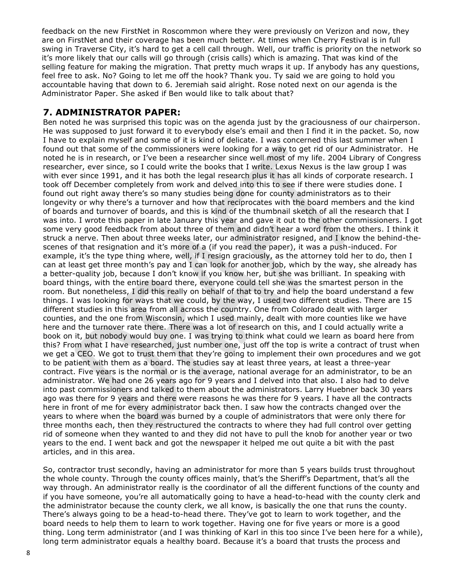feedback on the new FirstNet in Roscommon where they were previously on Verizon and now, they are on FirstNet and their coverage has been much better. At times when Cherry Festival is in full swing in Traverse City, it's hard to get a cell call through. Well, our traffic is priority on the network so it's more likely that our calls will go through (crisis calls) which is amazing. That was kind of the selling feature for making the migration. That pretty much wraps it up. If anybody has any questions, feel free to ask. No? Going to let me off the hook? Thank you. Ty said we are going to hold you accountable having that down to 6. Jeremiah said alright. Rose noted next on our agenda is the Administrator Paper. She asked if Ben would like to talk about that?

### **7. ADMINISTRATOR PAPER:**

Ben noted he was surprised this topic was on the agenda just by the graciousness of our chairperson. He was supposed to just forward it to everybody else's email and then I find it in the packet. So, now I have to explain myself and some of it is kind of delicate. I was concerned this last summer when I found out that some of the commissioners were looking for a way to get rid of our Administrator. He noted he is in research, or I've been a researcher since well most of my life. 2004 Library of Congress researcher, ever since, so I could write the books that I write. Lexus Nexus is the law group I was with ever since 1991, and it has both the legal research plus it has all kinds of corporate research. I took off December completely from work and delved into this to see if there were studies done. I found out right away there's so many studies being done for county administrators as to their longevity or why there's a turnover and how that reciprocates with the board members and the kind of boards and turnover of boards, and this is kind of the thumbnail sketch of all the research that I was into. I wrote this paper in late January this year and gave it out to the other commissioners. I got some very good feedback from about three of them and didn't hear a word from the others. I think it struck a nerve. Then about three weeks later, our administrator resigned, and I know the behind-thescenes of that resignation and it's more of a (if you read the paper), it was a push-induced. For example, it's the type thing where, well, if I resign graciously, as the attorney told her to do, then I can at least get three month's pay and I can look for another job, which by the way, she already has a better-quality job, because I don't know if you know her, but she was brilliant. In speaking with board things, with the entire board there, everyone could tell she was the smartest person in the room. But nonetheless, I did this really on behalf of that to try and help the board understand a few things. I was looking for ways that we could, by the way, I used two different studies. There are 15 different studies in this area from all across the country. One from Colorado dealt with larger counties, and the one from Wisconsin, which I used mainly, dealt with more counties like we have here and the turnover rate there. There was a lot of research on this, and I could actually write a book on it, but nobody would buy one. I was trying to think what could we learn as board here from this? From what I have researched, just number one, just off the top is write a contract of trust when we get a CEO. We got to trust them that they're going to implement their own procedures and we got to be patient with them as a board. The studies say at least three years, at least a three-year contract. Five years is the normal or is the average, national average for an administrator, to be an administrator. We had one 26 years ago for 9 years and I delved into that also. I also had to delve into past commissioners and talked to them about the administrators. Larry Huebner back 30 years ago was there for 9 years and there were reasons he was there for 9 years. I have all the contracts here in front of me for every administrator back then. I saw how the contracts changed over the years to where when the board was burned by a couple of administrators that were only there for three months each, then they restructured the contracts to where they had full control over getting rid of someone when they wanted to and they did not have to pull the knob for another year or two years to the end. I went back and got the newspaper it helped me out quite a bit with the past articles, and in this area.

So, contractor trust secondly, having an administrator for more than 5 years builds trust throughout the whole county. Through the county offices mainly, that's the Sheriff's Department, that's all the way through. An administrator really is the coordinator of all the different functions of the county and if you have someone, you're all automatically going to have a head-to-head with the county clerk and the administrator because the county clerk, we all know, is basically the one that runs the county. There's always going to be a head-to-head there. They've got to learn to work together, and the board needs to help them to learn to work together. Having one for five years or more is a good thing. Long term administrator (and I was thinking of Karl in this too since I've been here for a while), long term administrator equals a healthy board. Because it's a board that trusts the process and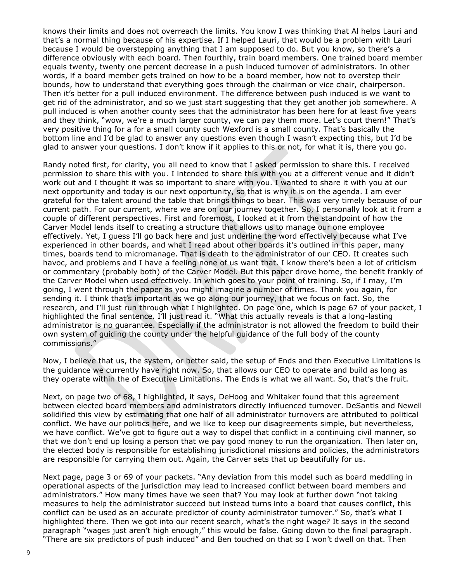knows their limits and does not overreach the limits. You know I was thinking that Al helps Lauri and that's a normal thing because of his expertise. If I helped Lauri, that would be a problem with Lauri because I would be overstepping anything that I am supposed to do. But you know, so there's a difference obviously with each board. Then fourthly, train board members. One trained board member equals twenty, twenty one percent decrease in a push induced turnover of administrators. In other words, if a board member gets trained on how to be a board member, how not to overstep their bounds, how to understand that everything goes through the chairman or vice chair, chairperson. Then it's better for a pull induced environment. The difference between push induced is we want to get rid of the administrator, and so we just start suggesting that they get another job somewhere. A pull induced is when another county sees that the administrator has been here for at least five years and they think, "wow, we're a much larger county, we can pay them more. Let's court them!" That's very positive thing for a for a small county such Wexford is a small county. That's basically the bottom line and I'd be glad to answer any questions even though I wasn't expecting this, but I'd be glad to answer your questions. I don't know if it applies to this or not, for what it is, there you go.

Randy noted first, for clarity, you all need to know that I asked permission to share this. I received permission to share this with you. I intended to share this with you at a different venue and it didn't work out and I thought it was so important to share with you. I wanted to share it with you at our next opportunity and today is our next opportunity, so that is why it is on the agenda. I am ever grateful for the talent around the table that brings things to bear. This was very timely because of our current path. For our current, where we are on our journey together. So, I personally look at it from a couple of different perspectives. First and foremost, I looked at it from the standpoint of how the Carver Model lends itself to creating a structure that allows us to manage our one employee effectively. Yet, I guess I'll go back here and just underline the word effectively because what I've experienced in other boards, and what I read about other boards it's outlined in this paper, many times, boards tend to micromanage. That is death to the administrator of our CEO. It creates such havoc, and problems and I have a feeling none of us want that. I know there's been a lot of criticism or commentary (probably both) of the Carver Model. But this paper drove home, the benefit frankly of the Carver Model when used effectively. In which goes to your point of training. So, if I may, I'm going, I went through the paper as you might imagine a number of times. Thank you again, for sending it. I think that's important as we go along our journey, that we focus on fact. So, the research, and I'll just run through what I highlighted. On page one, which is page 67 of your packet, I highlighted the final sentence. I'll just read it. "What this actually reveals is that a long-lasting administrator is no guarantee. Especially if the administrator is not allowed the freedom to build their own system of guiding the county under the helpful guidance of the full body of the county commissions."

Now, I believe that us, the system, or better said, the setup of Ends and then Executive Limitations is the guidance we currently have right now. So, that allows our CEO to operate and build as long as they operate within the of Executive Limitations. The Ends is what we all want. So, that's the fruit.

Next, on page two of 68, I highlighted, it says, DeHoog and Whitaker found that this agreement between elected board members and administrators directly influenced turnover. DeSantis and Newell solidified this view by estimating that one half of all administrator turnovers are attributed to political conflict. We have our politics here, and we like to keep our disagreements simple, but nevertheless, we have conflict. We've got to figure out a way to dispel that conflict in a continuing civil manner, so that we don't end up losing a person that we pay good money to run the organization. Then later on, the elected body is responsible for establishing jurisdictional missions and policies, the administrators are responsible for carrying them out. Again, the Carver sets that up beautifully for us.

Next page, page 3 or 69 of your packets. "Any deviation from this model such as board meddling in operational aspects of the jurisdiction may lead to increased conflict between board members and administrators." How many times have we seen that? You may look at further down "not taking measures to help the administrator succeed but instead turns into a board that causes conflict, this conflict can be used as an accurate predictor of county administrator turnover." So, that's what I highlighted there. Then we got into our recent search, what's the right wage? It says in the second paragraph "wages just aren't high enough," this would be false. Going down to the final paragraph. "There are six predictors of push induced" and Ben touched on that so I won't dwell on that. Then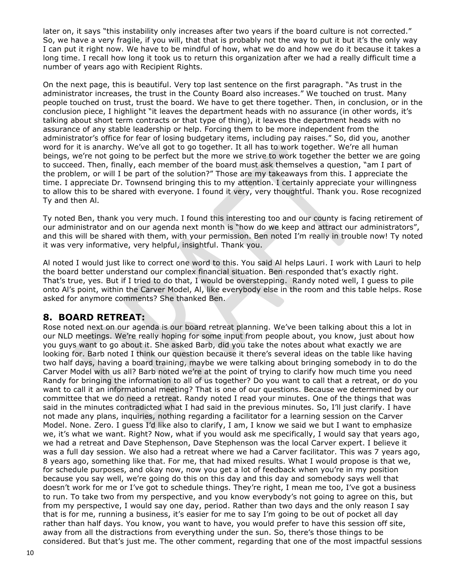later on, it says "this instability only increases after two years if the board culture is not corrected." So, we have a very fragile, if you will, that that is probably not the way to put it but it's the only way I can put it right now. We have to be mindful of how, what we do and how we do it because it takes a long time. I recall how long it took us to return this organization after we had a really difficult time a number of years ago with Recipient Rights.

On the next page, this is beautiful. Very top last sentence on the first paragraph. "As trust in the administrator increases, the trust in the County Board also increases." We touched on trust. Many people touched on trust, trust the board. We have to get there together. Then, in conclusion, or in the conclusion piece, I highlight "it leaves the department heads with no assurance (in other words, it's talking about short term contracts or that type of thing), it leaves the department heads with no assurance of any stable leadership or help. Forcing them to be more independent from the administrator's office for fear of losing budgetary items, including pay raises." So, did you, another word for it is anarchy. We've all got to go together. It all has to work together. We're all human beings, we're not going to be perfect but the more we strive to work together the better we are going to succeed. Then, finally, each member of the board must ask themselves a question, "am I part of the problem, or will I be part of the solution?" Those are my takeaways from this. I appreciate the time. I appreciate Dr. Townsend bringing this to my attention. I certainly appreciate your willingness to allow this to be shared with everyone. I found it very, very thoughtful. Thank you. Rose recognized Ty and then Al.

Ty noted Ben, thank you very much. I found this interesting too and our county is facing retirement of our administrator and on our agenda next month is "how do we keep and attract our administrators", and this will be shared with them, with your permission. Ben noted I'm really in trouble now! Ty noted it was very informative, very helpful, insightful. Thank you.

Al noted I would just like to correct one word to this. You said Al helps Lauri. I work with Lauri to help the board better understand our complex financial situation. Ben responded that's exactly right. That's true, yes. But if I tried to do that, I would be overstepping. Randy noted well, I guess to pile onto Al's point, within the Carver Model, Al, like everybody else in the room and this table helps. Rose asked for anymore comments? She thanked Ben.

### **8. BOARD RETREAT:**

Rose noted next on our agenda is our board retreat planning. We've been talking about this a lot in our NLD meetings. We're really hoping for some input from people about, you know, just about how you guys want to go about it. She asked Barb, did you take the notes about what exactly we are looking for. Barb noted I think our question because it there's several ideas on the table like having two half days, having a board training, maybe we were talking about bringing somebody in to do the Carver Model with us all? Barb noted we're at the point of trying to clarify how much time you need Randy for bringing the information to all of us together? Do you want to call that a retreat, or do you want to call it an informational meeting? That is one of our questions. Because we determined by our committee that we do need a retreat. Randy noted I read your minutes. One of the things that was said in the minutes contradicted what I had said in the previous minutes. So, I'll just clarify. I have not made any plans, inquiries, nothing regarding a facilitator for a learning session on the Carver Model. None. Zero. I guess I'd like also to clarify, I am, I know we said we but I want to emphasize we, it's what we want. Right? Now, what if you would ask me specifically, I would say that years ago, we had a retreat and Dave Stephenson, Dave Stephenson was the local Carver expert. I believe it was a full day session. We also had a retreat where we had a Carver facilitator. This was 7 years ago, 8 years ago, something like that. For me, that had mixed results. What I would propose is that we, for schedule purposes, and okay now, now you get a lot of feedback when you're in my position because you say well, we're going do this on this day and this day and somebody says well that doesn't work for me or I've got to schedule things. They're right, I mean me too, I've got a business to run. To take two from my perspective, and you know everybody's not going to agree on this, but from my perspective, I would say one day, period. Rather than two days and the only reason I say that is for me, running a business, it's easier for me to say I'm going to be out of pocket all day rather than half days. You know, you want to have, you would prefer to have this session off site, away from all the distractions from everything under the sun. So, there's those things to be considered. But that's just me. The other comment, regarding that one of the most impactful sessions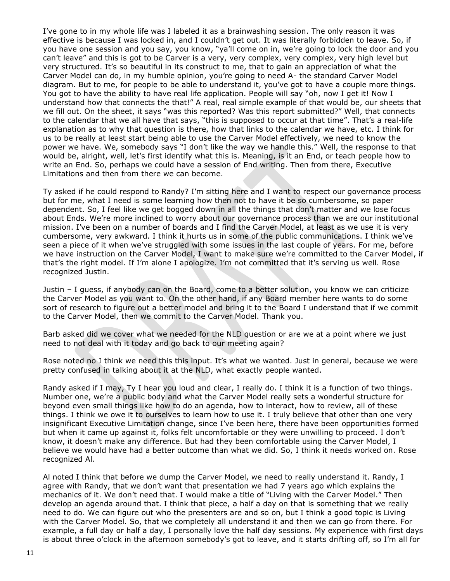I've gone to in my whole life was I labeled it as a brainwashing session. The only reason it was effective is because I was locked in, and I couldn't get out. It was literally forbidden to leave. So, if you have one session and you say, you know, "ya'll come on in, we're going to lock the door and you can't leave" and this is got to be Carver is a very, very complex, very complex, very high level but very structured. It's so beautiful in its construct to me, that to gain an appreciation of what the Carver Model can do, in my humble opinion, you're going to need A- the standard Carver Model diagram. But to me, for people to be able to understand it, you've got to have a couple more things. You got to have the ability to have real life application. People will say "oh, now I get it! Now I understand how that connects the that!" A real, real simple example of that would be, our sheets that we fill out. On the sheet, it says "was this reported? Was this report submitted?" Well, that connects to the calendar that we all have that says, "this is supposed to occur at that time". That's a real-life explanation as to why that question is there, how that links to the calendar we have, etc. I think for us to be really at least start being able to use the Carver Model effectively, we need to know the power we have. We, somebody says "I don't like the way we handle this." Well, the response to that would be, alright, well, let's first identify what this is. Meaning, is it an End, or teach people how to write an End. So, perhaps we could have a session of End writing. Then from there, Executive Limitations and then from there we can become.

Ty asked if he could respond to Randy? I'm sitting here and I want to respect our governance process but for me, what I need is some learning how then not to have it be so cumbersome, so paper dependent. So, I feel like we get bogged down in all the things that don't matter and we lose focus about Ends. We're more inclined to worry about our governance process than we are our institutional mission. I've been on a number of boards and I find the Carver Model, at least as we use it is very cumbersome, very awkward. I think it hurts us in some of the public communications. I think we've seen a piece of it when we've struggled with some issues in the last couple of years. For me, before we have instruction on the Carver Model, I want to make sure we're committed to the Carver Model, if that's the right model. If I'm alone I apologize. I'm not committed that it's serving us well. Rose recognized Justin.

Justin – I guess, if anybody can on the Board, come to a better solution, you know we can criticize the Carver Model as you want to. On the other hand, if any Board member here wants to do some sort of research to figure out a better model and bring it to the Board I understand that if we commit to the Carver Model, then we commit to the Carver Model. Thank you.

Barb asked did we cover what we needed for the NLD question or are we at a point where we just need to not deal with it today and go back to our meeting again?

Rose noted no I think we need this this input. It's what we wanted. Just in general, because we were pretty confused in talking about it at the NLD, what exactly people wanted.

Randy asked if I may, Ty I hear you loud and clear, I really do. I think it is a function of two things. Number one, we're a public body and what the Carver Model really sets a wonderful structure for beyond even small things like how to do an agenda, how to interact, how to review, all of these things. I think we owe it to ourselves to learn how to use it. I truly believe that other than one very insignificant Executive Limitation change, since I've been here, there have been opportunities formed but when it came up against it, folks felt uncomfortable or they were unwilling to proceed. I don't know, it doesn't make any difference. But had they been comfortable using the Carver Model, I believe we would have had a better outcome than what we did. So, I think it needs worked on. Rose recognized Al.

Al noted I think that before we dump the Carver Model, we need to really understand it. Randy, I agree with Randy, that we don't want that presentation we had 7 years ago which explains the mechanics of it. We don't need that. I would make a title of "Living with the Carver Model." Then develop an agenda around that. I think that piece, a half a day on that is something that we really need to do. We can figure out who the presenters are and so on, but I think a good topic is Living with the Carver Model. So, that we completely all understand it and then we can go from there. For example, a full day or half a day, I personally love the half day sessions. My experience with first days is about three o'clock in the afternoon somebody's got to leave, and it starts drifting off, so I'm all for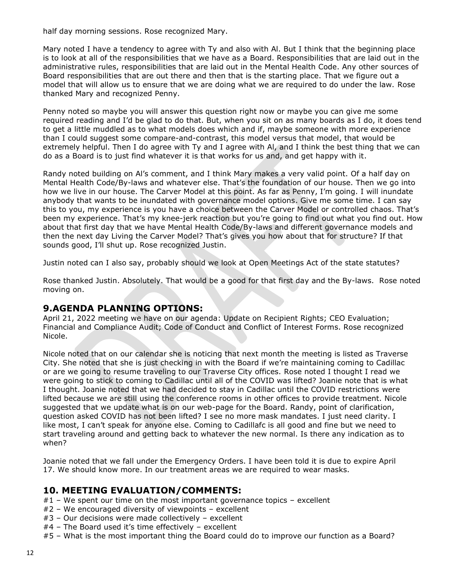half day morning sessions. Rose recognized Mary.

Mary noted I have a tendency to agree with Ty and also with Al. But I think that the beginning place is to look at all of the responsibilities that we have as a Board. Responsibilities that are laid out in the administrative rules, responsibilities that are laid out in the Mental Health Code. Any other sources of Board responsibilities that are out there and then that is the starting place. That we figure out a model that will allow us to ensure that we are doing what we are required to do under the law. Rose thanked Mary and recognized Penny.

Penny noted so maybe you will answer this question right now or maybe you can give me some required reading and I'd be glad to do that. But, when you sit on as many boards as I do, it does tend to get a little muddled as to what models does which and if, maybe someone with more experience than I could suggest some compare-and-contrast, this model versus that model, that would be extremely helpful. Then I do agree with Ty and I agree with Al, and I think the best thing that we can do as a Board is to just find whatever it is that works for us and, and get happy with it.

Randy noted building on Al's comment, and I think Mary makes a very valid point. Of a half day on Mental Health Code/By-laws and whatever else. That's the foundation of our house. Then we go into how we live in our house. The Carver Model at this point. As far as Penny, I'm going. I will inundate anybody that wants to be inundated with governance model options. Give me some time. I can say this to you, my experience is you have a choice between the Carver Model or controlled chaos. That's been my experience. That's my knee-jerk reaction but you're going to find out what you find out. How about that first day that we have Mental Health Code/By-laws and different governance models and then the next day Living the Carver Model? That's gives you how about that for structure? If that sounds good, I'll shut up. Rose recognized Justin.

Justin noted can I also say, probably should we look at Open Meetings Act of the state statutes?

Rose thanked Justin. Absolutely. That would be a good for that first day and the By-laws. Rose noted moving on.

### **9.AGENDA PLANNING OPTIONS:**

April 21, 2022 meeting we have on our agenda: Update on Recipient Rights; CEO Evaluation; Financial and Compliance Audit; Code of Conduct and Conflict of Interest Forms. Rose recognized Nicole.

Nicole noted that on our calendar she is noticing that next month the meeting is listed as Traverse City. She noted that she is just checking in with the Board if we're maintaining coming to Cadillac or are we going to resume traveling to our Traverse City offices. Rose noted I thought I read we were going to stick to coming to Cadillac until all of the COVID was lifted? Joanie note that is what I thought. Joanie noted that we had decided to stay in Cadillac until the COVID restrictions were lifted because we are still using the conference rooms in other offices to provide treatment. Nicole suggested that we update what is on our web-page for the Board. Randy, point of clarification, question asked COVID has not been lifted? I see no more mask mandates. I just need clarity. I like most, I can't speak for anyone else. Coming to Cadillafc is all good and fine but we need to start traveling around and getting back to whatever the new normal. Is there any indication as to when?

Joanie noted that we fall under the Emergency Orders. I have been told it is due to expire April 17. We should know more. In our treatment areas we are required to wear masks.

#### **10. MEETING EVALUATION/COMMENTS:**

- $#1$  We spent our time on the most important governance topics excellent
- #2 We encouraged diversity of viewpoints excellent
- #3 Our decisions were made collectively excellent
- #4 The Board used it's time effectively excellent
- #5 What is the most important thing the Board could do to improve our function as a Board?